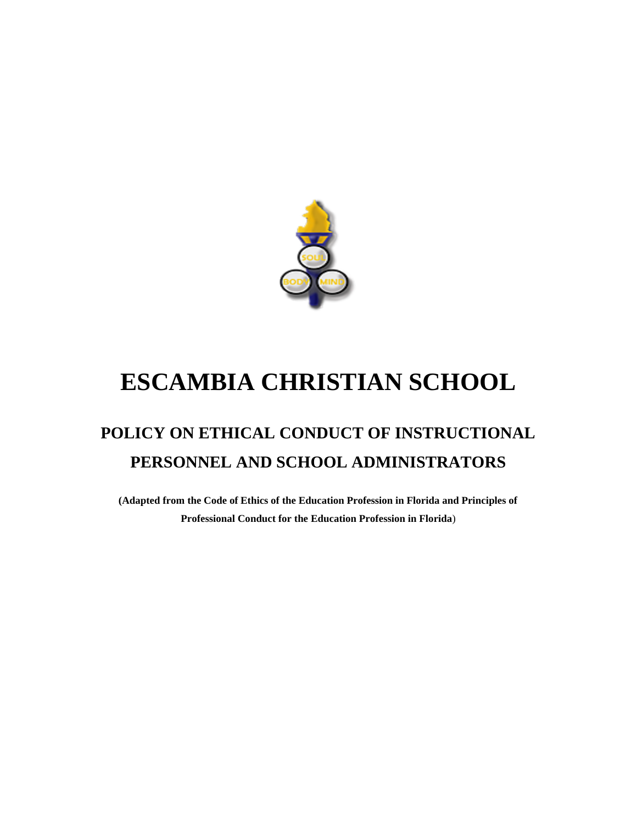

# **ESCAMBIA CHRISTIAN SCHOOL**

## **POLICY ON ETHICAL CONDUCT OF INSTRUCTIONAL PERSONNEL AND SCHOOL ADMINISTRATORS**

**(Adapted from the Code of Ethics of the Education Profession in Florida and Principles of Professional Conduct for the Education Profession in Florida**)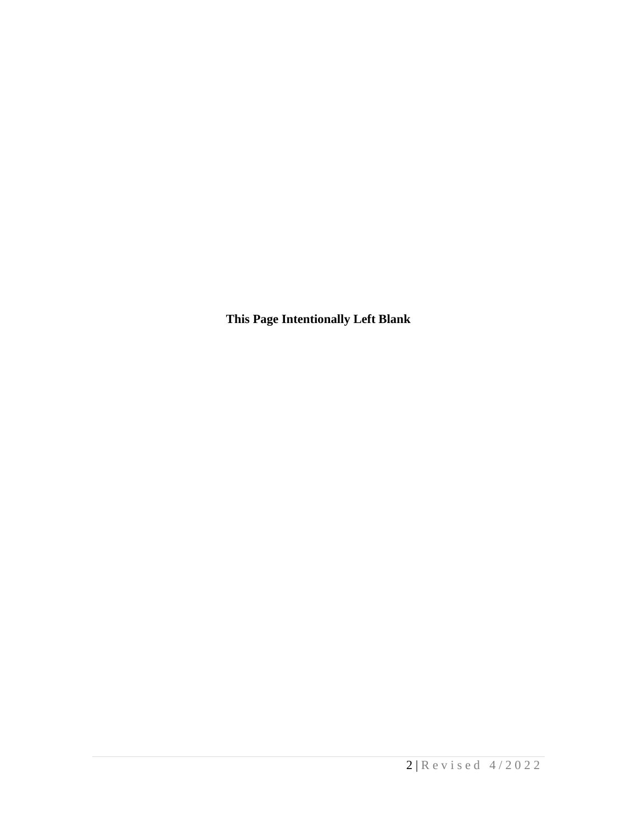**This Page Intentionally Left Blank**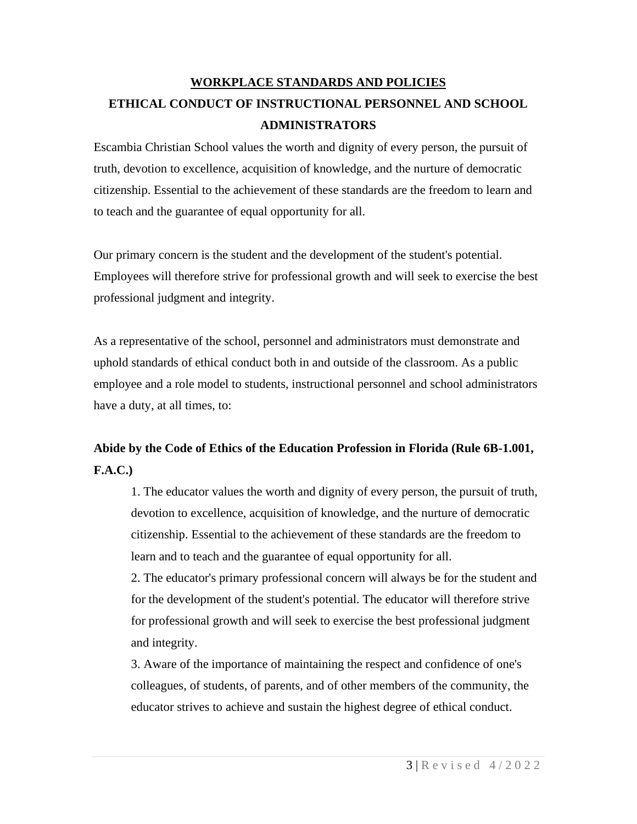## **WORKPLACE STANDARDS AND POLICIES ETHICAL CONDUCT OF INSTRUCTIONAL PERSONNEL AND SCHOOL ADMINISTRATORS**

Escambia Christian School values the worth and dignity of every person, the pursuit of truth, devotion to excellence, acquisition of knowledge, and the nurture of democratic citizenship. Essential to the achievement of these standards are the freedom to learn and to teach and the guarantee of equal opportunity for all.

Our primary concern is the student and the development of the student's potential. Employees will therefore strive for professional growth and will seek to exercise the best professional judgment and integrity.

As a representative of the school, personnel and administrators must demonstrate and uphold standards of ethical conduct both in and outside of the classroom. As a public employee and a role model to students, instructional personnel and school administrators have a duty, at all times, to:

### **Abide by the Code of Ethics of the Education Profession in Florida (Rule 6B-1.001, F.A.C.)**

1. The educator values the worth and dignity of every person, the pursuit of truth, devotion to excellence, acquisition of knowledge, and the nurture of democratic citizenship. Essential to the achievement of these standards are the freedom to learn and to teach and the guarantee of equal opportunity for all.

2. The educator's primary professional concern will always be for the student and for the development of the student's potential. The educator will therefore strive for professional growth and will seek to exercise the best professional judgment and integrity.

3. Aware of the importance of maintaining the respect and confidence of one's colleagues, of students, of parents, and of other members of the community, the educator strives to achieve and sustain the highest degree of ethical conduct.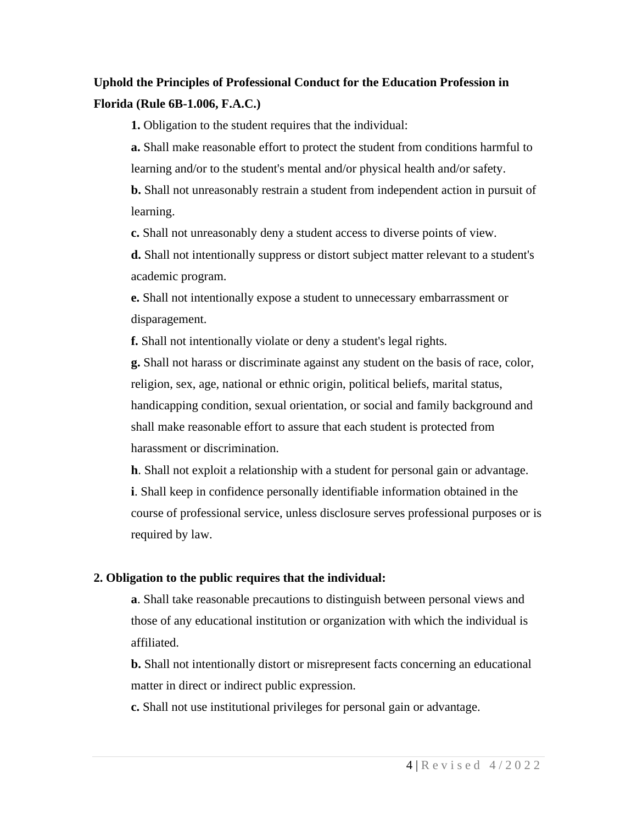### **Uphold the Principles of Professional Conduct for the Education Profession in Florida (Rule 6B-1.006, F.A.C.)**

**1.** Obligation to the student requires that the individual:

**a.** Shall make reasonable effort to protect the student from conditions harmful to learning and/or to the student's mental and/or physical health and/or safety.

**b.** Shall not unreasonably restrain a student from independent action in pursuit of learning.

**c.** Shall not unreasonably deny a student access to diverse points of view.

**d.** Shall not intentionally suppress or distort subject matter relevant to a student's academic program.

**e.** Shall not intentionally expose a student to unnecessary embarrassment or disparagement.

**f.** Shall not intentionally violate or deny a student's legal rights.

**g.** Shall not harass or discriminate against any student on the basis of race, color, religion, sex, age, national or ethnic origin, political beliefs, marital status, handicapping condition, sexual orientation, or social and family background and shall make reasonable effort to assure that each student is protected from harassment or discrimination.

**h**. Shall not exploit a relationship with a student for personal gain or advantage. **i**. Shall keep in confidence personally identifiable information obtained in the course of professional service, unless disclosure serves professional purposes or is required by law.

#### **2. Obligation to the public requires that the individual:**

**a**. Shall take reasonable precautions to distinguish between personal views and those of any educational institution or organization with which the individual is affiliated.

**b.** Shall not intentionally distort or misrepresent facts concerning an educational matter in direct or indirect public expression.

**c.** Shall not use institutional privileges for personal gain or advantage.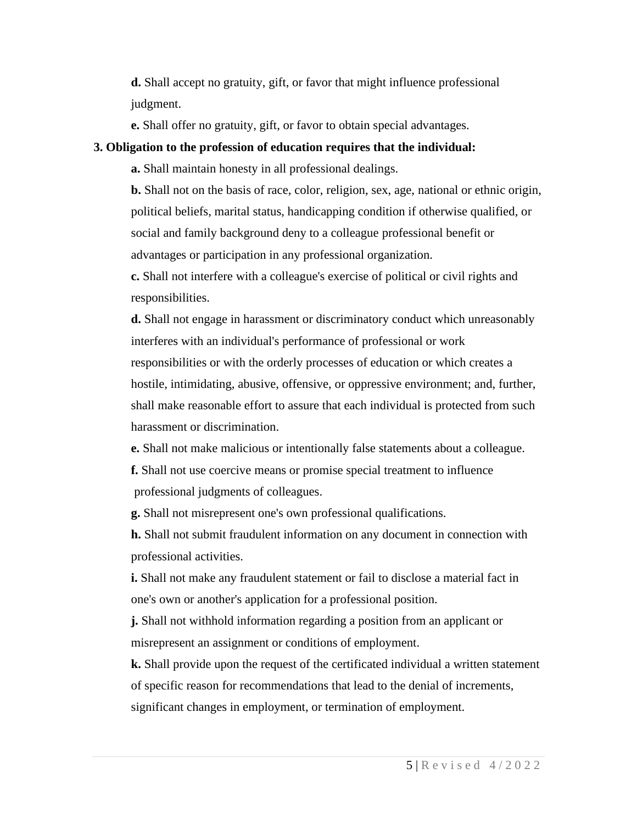**d.** Shall accept no gratuity, gift, or favor that might influence professional judgment.

**e.** Shall offer no gratuity, gift, or favor to obtain special advantages.

#### **3. Obligation to the profession of education requires that the individual:**

**a.** Shall maintain honesty in all professional dealings.

**b.** Shall not on the basis of race, color, religion, sex, age, national or ethnic origin, political beliefs, marital status, handicapping condition if otherwise qualified, or social and family background deny to a colleague professional benefit or advantages or participation in any professional organization.

**c.** Shall not interfere with a colleague's exercise of political or civil rights and responsibilities.

**d.** Shall not engage in harassment or discriminatory conduct which unreasonably interferes with an individual's performance of professional or work responsibilities or with the orderly processes of education or which creates a hostile, intimidating, abusive, offensive, or oppressive environment; and, further, shall make reasonable effort to assure that each individual is protected from such harassment or discrimination.

**e.** Shall not make malicious or intentionally false statements about a colleague.

**f.** Shall not use coercive means or promise special treatment to influence professional judgments of colleagues.

**g.** Shall not misrepresent one's own professional qualifications.

**h.** Shall not submit fraudulent information on any document in connection with professional activities.

**i.** Shall not make any fraudulent statement or fail to disclose a material fact in one's own or another's application for a professional position.

**j.** Shall not withhold information regarding a position from an applicant or misrepresent an assignment or conditions of employment.

**k.** Shall provide upon the request of the certificated individual a written statement of specific reason for recommendations that lead to the denial of increments, significant changes in employment, or termination of employment.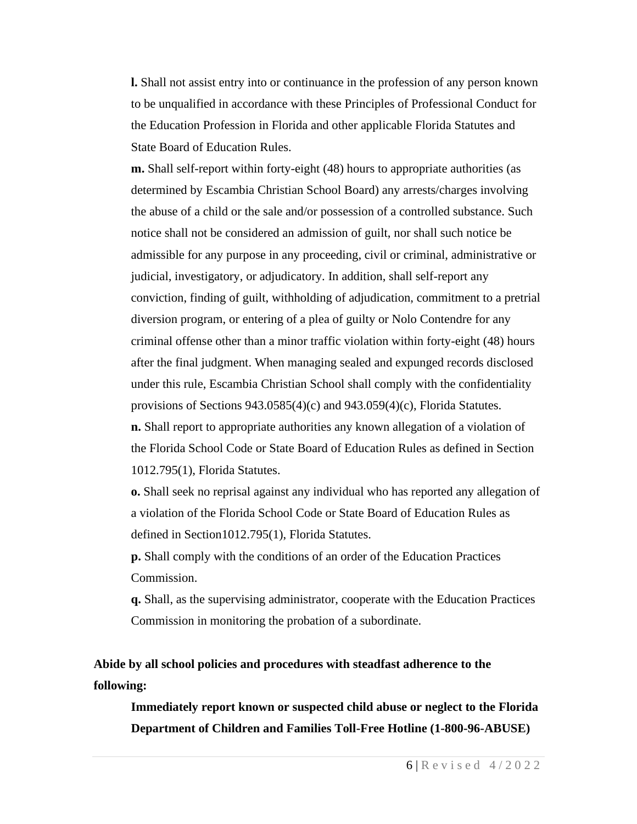**l.** Shall not assist entry into or continuance in the profession of any person known to be unqualified in accordance with these Principles of Professional Conduct for the Education Profession in Florida and other applicable Florida Statutes and State Board of Education Rules.

**m.** Shall self-report within forty-eight (48) hours to appropriate authorities (as determined by Escambia Christian School Board) any arrests/charges involving the abuse of a child or the sale and/or possession of a controlled substance. Such notice shall not be considered an admission of guilt, nor shall such notice be admissible for any purpose in any proceeding, civil or criminal, administrative or judicial, investigatory, or adjudicatory. In addition, shall self-report any conviction, finding of guilt, withholding of adjudication, commitment to a pretrial diversion program, or entering of a plea of guilty or Nolo Contendre for any criminal offense other than a minor traffic violation within forty-eight (48) hours after the final judgment. When managing sealed and expunged records disclosed under this rule, Escambia Christian School shall comply with the confidentiality provisions of Sections 943.0585(4)(c) and 943.059(4)(c), Florida Statutes.

**n.** Shall report to appropriate authorities any known allegation of a violation of the Florida School Code or State Board of Education Rules as defined in Section 1012.795(1), Florida Statutes.

**o.** Shall seek no reprisal against any individual who has reported any allegation of a violation of the Florida School Code or State Board of Education Rules as defined in Section1012.795(1), Florida Statutes.

**p.** Shall comply with the conditions of an order of the Education Practices Commission.

**q.** Shall, as the supervising administrator, cooperate with the Education Practices Commission in monitoring the probation of a subordinate.

**Abide by all school policies and procedures with steadfast adherence to the following:**

**Immediately report known or suspected child abuse or neglect to the Florida Department of Children and Families Toll-Free Hotline (1-800-96-ABUSE)**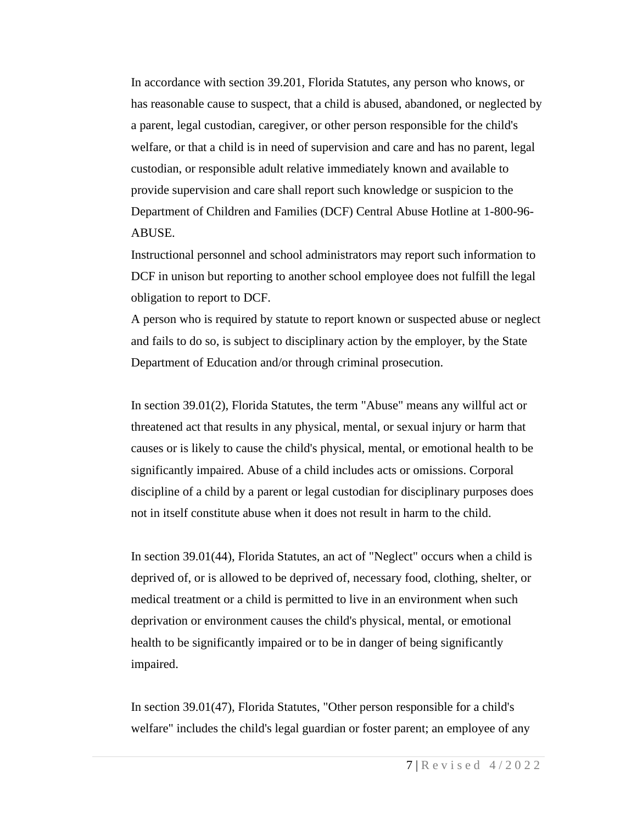In accordance with section 39.201, Florida Statutes, any person who knows, or has reasonable cause to suspect, that a child is abused, abandoned, or neglected by a parent, legal custodian, caregiver, or other person responsible for the child's welfare, or that a child is in need of supervision and care and has no parent, legal custodian, or responsible adult relative immediately known and available to provide supervision and care shall report such knowledge or suspicion to the Department of Children and Families (DCF) Central Abuse Hotline at 1-800-96- ABUSE.

Instructional personnel and school administrators may report such information to DCF in unison but reporting to another school employee does not fulfill the legal obligation to report to DCF.

A person who is required by statute to report known or suspected abuse or neglect and fails to do so, is subject to disciplinary action by the employer, by the State Department of Education and/or through criminal prosecution.

In section 39.01(2), Florida Statutes, the term "Abuse" means any willful act or threatened act that results in any physical, mental, or sexual injury or harm that causes or is likely to cause the child's physical, mental, or emotional health to be significantly impaired. Abuse of a child includes acts or omissions. Corporal discipline of a child by a parent or legal custodian for disciplinary purposes does not in itself constitute abuse when it does not result in harm to the child.

In section 39.01(44), Florida Statutes, an act of "Neglect" occurs when a child is deprived of, or is allowed to be deprived of, necessary food, clothing, shelter, or medical treatment or a child is permitted to live in an environment when such deprivation or environment causes the child's physical, mental, or emotional health to be significantly impaired or to be in danger of being significantly impaired.

In section 39.01(47), Florida Statutes, "Other person responsible for a child's welfare" includes the child's legal guardian or foster parent; an employee of any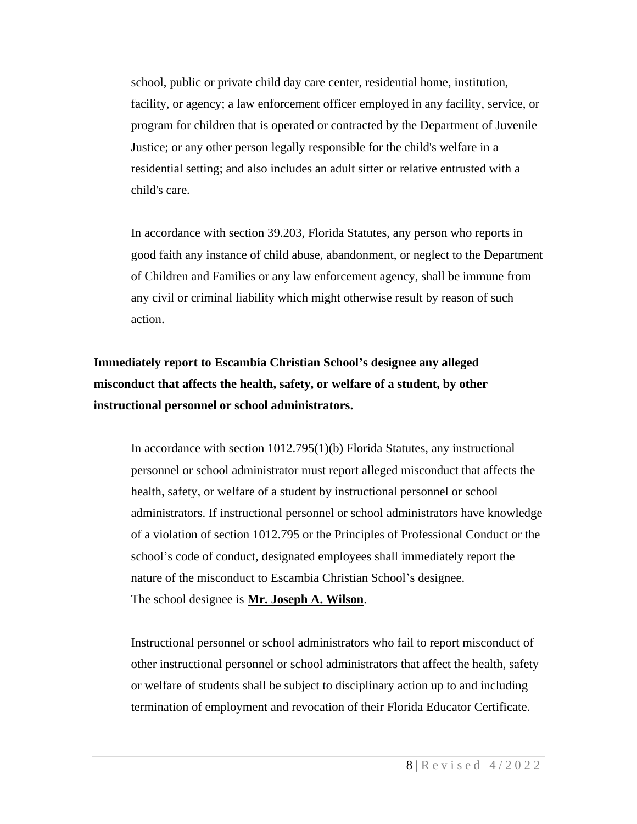school, public or private child day care center, residential home, institution, facility, or agency; a law enforcement officer employed in any facility, service, or program for children that is operated or contracted by the Department of Juvenile Justice; or any other person legally responsible for the child's welfare in a residential setting; and also includes an adult sitter or relative entrusted with a child's care.

In accordance with section 39.203, Florida Statutes, any person who reports in good faith any instance of child abuse, abandonment, or neglect to the Department of Children and Families or any law enforcement agency, shall be immune from any civil or criminal liability which might otherwise result by reason of such action.

**Immediately report to Escambia Christian School's designee any alleged misconduct that affects the health, safety, or welfare of a student, by other instructional personnel or school administrators.**

In accordance with section 1012.795(1)(b) Florida Statutes, any instructional personnel or school administrator must report alleged misconduct that affects the health, safety, or welfare of a student by instructional personnel or school administrators. If instructional personnel or school administrators have knowledge of a violation of section 1012.795 or the Principles of Professional Conduct or the school's code of conduct, designated employees shall immediately report the nature of the misconduct to Escambia Christian School's designee. The school designee is **Mr. Joseph A. Wilson**.

Instructional personnel or school administrators who fail to report misconduct of other instructional personnel or school administrators that affect the health, safety or welfare of students shall be subject to disciplinary action up to and including termination of employment and revocation of their Florida Educator Certificate.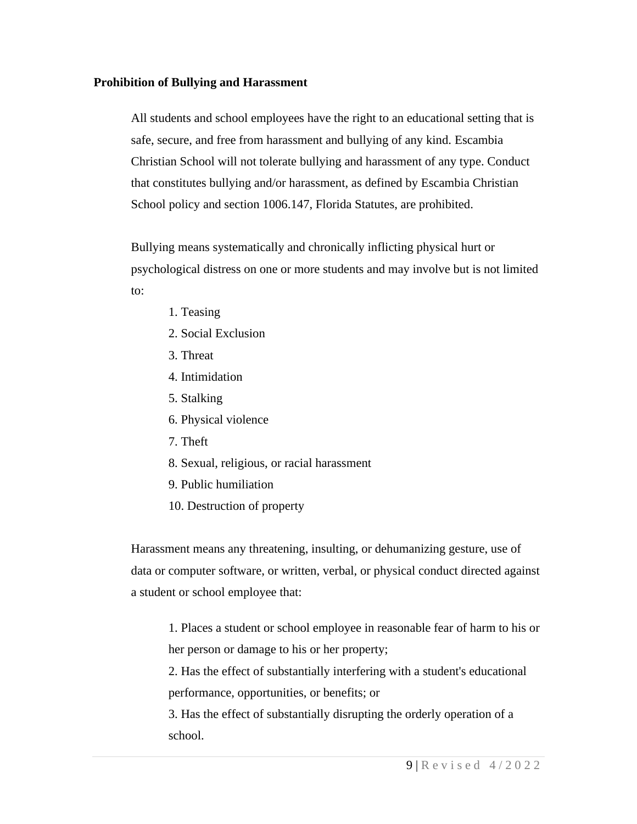#### **Prohibition of Bullying and Harassment**

All students and school employees have the right to an educational setting that is safe, secure, and free from harassment and bullying of any kind. Escambia Christian School will not tolerate bullying and harassment of any type. Conduct that constitutes bullying and/or harassment, as defined by Escambia Christian School policy and section 1006.147, Florida Statutes, are prohibited.

Bullying means systematically and chronically inflicting physical hurt or psychological distress on one or more students and may involve but is not limited to:

- 1. Teasing
- 2. Social Exclusion
- 3. Threat
- 4. Intimidation
- 5. Stalking
- 6. Physical violence
- 7. Theft
- 8. Sexual, religious, or racial harassment
- 9. Public humiliation
- 10. Destruction of property

Harassment means any threatening, insulting, or dehumanizing gesture, use of data or computer software, or written, verbal, or physical conduct directed against a student or school employee that:

1. Places a student or school employee in reasonable fear of harm to his or her person or damage to his or her property;

2. Has the effect of substantially interfering with a student's educational performance, opportunities, or benefits; or

3. Has the effect of substantially disrupting the orderly operation of a school.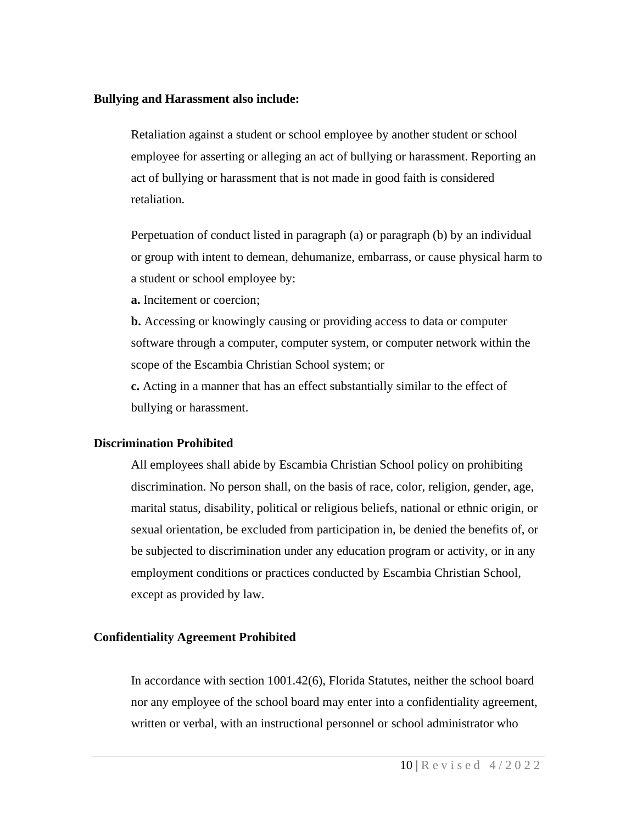#### **Bullying and Harassment also include:**

Retaliation against a student or school employee by another student or school employee for asserting or alleging an act of bullying or harassment. Reporting an act of bullying or harassment that is not made in good faith is considered retaliation.

Perpetuation of conduct listed in paragraph (a) or paragraph (b) by an individual or group with intent to demean, dehumanize, embarrass, or cause physical harm to a student or school employee by:

**a.** Incitement or coercion;

**b.** Accessing or knowingly causing or providing access to data or computer software through a computer, computer system, or computer network within the scope of the Escambia Christian School system; or

**c.** Acting in a manner that has an effect substantially similar to the effect of bullying or harassment.

#### **Discrimination Prohibited**

All employees shall abide by Escambia Christian School policy on prohibiting discrimination. No person shall, on the basis of race, color, religion, gender, age, marital status, disability, political or religious beliefs, national or ethnic origin, or sexual orientation, be excluded from participation in, be denied the benefits of, or be subjected to discrimination under any education program or activity, or in any employment conditions or practices conducted by Escambia Christian School, except as provided by law.

#### **Confidentiality Agreement Prohibited**

In accordance with section 1001.42(6), Florida Statutes, neither the school board nor any employee of the school board may enter into a confidentiality agreement, written or verbal, with an instructional personnel or school administrator who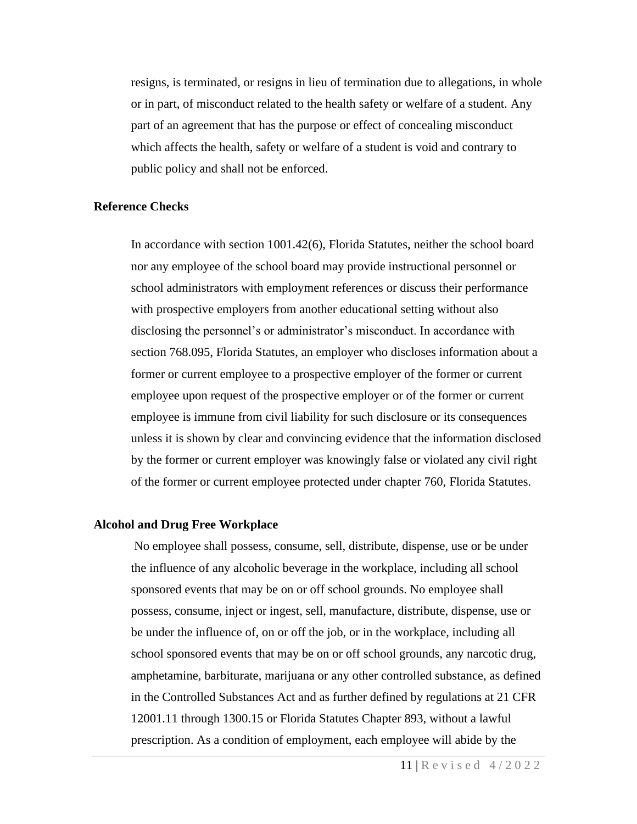resigns, is terminated, or resigns in lieu of termination due to allegations, in whole or in part, of misconduct related to the health safety or welfare of a student. Any part of an agreement that has the purpose or effect of concealing misconduct which affects the health, safety or welfare of a student is void and contrary to public policy and shall not be enforced.

#### **Reference Checks**

In accordance with section 1001.42(6), Florida Statutes, neither the school board nor any employee of the school board may provide instructional personnel or school administrators with employment references or discuss their performance with prospective employers from another educational setting without also disclosing the personnel's or administrator's misconduct. In accordance with section 768.095, Florida Statutes, an employer who discloses information about a former or current employee to a prospective employer of the former or current employee upon request of the prospective employer or of the former or current employee is immune from civil liability for such disclosure or its consequences unless it is shown by clear and convincing evidence that the information disclosed by the former or current employer was knowingly false or violated any civil right of the former or current employee protected under chapter 760, Florida Statutes.

#### **Alcohol and Drug Free Workplace**

No employee shall possess, consume, sell, distribute, dispense, use or be under the influence of any alcoholic beverage in the workplace, including all school sponsored events that may be on or off school grounds. No employee shall possess, consume, inject or ingest, sell, manufacture, distribute, dispense, use or be under the influence of, on or off the job, or in the workplace, including all school sponsored events that may be on or off school grounds, any narcotic drug, amphetamine, barbiturate, marijuana or any other controlled substance, as defined in the Controlled Substances Act and as further defined by regulations at 21 CFR 12001.11 through 1300.15 or Florida Statutes Chapter 893, without a lawful prescription. As a condition of employment, each employee will abide by the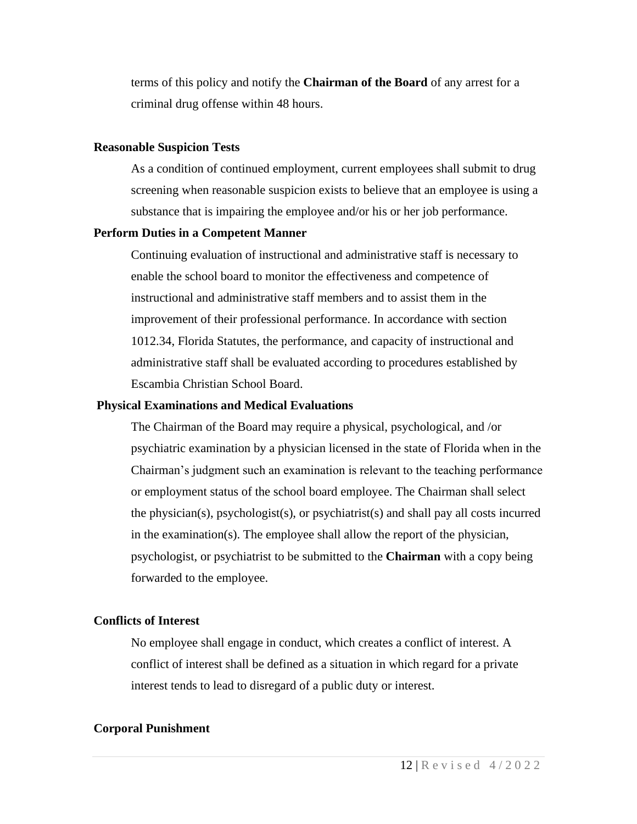terms of this policy and notify the **Chairman of the Board** of any arrest for a criminal drug offense within 48 hours.

#### **Reasonable Suspicion Tests**

As a condition of continued employment, current employees shall submit to drug screening when reasonable suspicion exists to believe that an employee is using a substance that is impairing the employee and/or his or her job performance.

#### **Perform Duties in a Competent Manner**

Continuing evaluation of instructional and administrative staff is necessary to enable the school board to monitor the effectiveness and competence of instructional and administrative staff members and to assist them in the improvement of their professional performance. In accordance with section 1012.34, Florida Statutes, the performance, and capacity of instructional and administrative staff shall be evaluated according to procedures established by Escambia Christian School Board.

#### **Physical Examinations and Medical Evaluations**

The Chairman of the Board may require a physical, psychological, and /or psychiatric examination by a physician licensed in the state of Florida when in the Chairman's judgment such an examination is relevant to the teaching performance or employment status of the school board employee. The Chairman shall select the physician(s), psychologist(s), or psychiatrist(s) and shall pay all costs incurred in the examination(s). The employee shall allow the report of the physician, psychologist, or psychiatrist to be submitted to the **Chairman** with a copy being forwarded to the employee.

#### **Conflicts of Interest**

No employee shall engage in conduct, which creates a conflict of interest. A conflict of interest shall be defined as a situation in which regard for a private interest tends to lead to disregard of a public duty or interest.

#### **Corporal Punishment**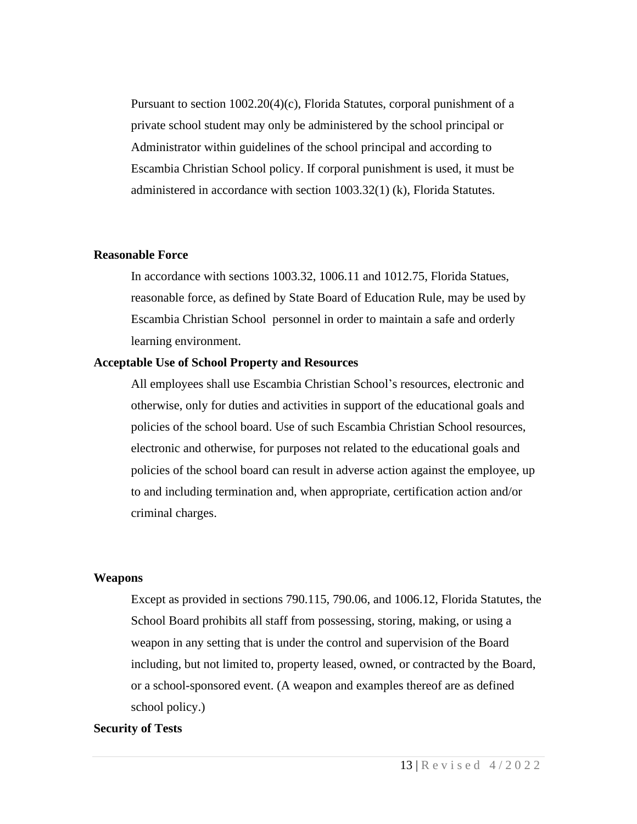Pursuant to section 1002.20(4)(c), Florida Statutes, corporal punishment of a private school student may only be administered by the school principal or Administrator within guidelines of the school principal and according to Escambia Christian School policy. If corporal punishment is used, it must be administered in accordance with section 1003.32(1) (k), Florida Statutes.

#### **Reasonable Force**

In accordance with sections 1003.32, 1006.11 and 1012.75, Florida Statues, reasonable force, as defined by State Board of Education Rule, may be used by Escambia Christian School personnel in order to maintain a safe and orderly learning environment.

#### **Acceptable Use of School Property and Resources**

All employees shall use Escambia Christian School's resources, electronic and otherwise, only for duties and activities in support of the educational goals and policies of the school board. Use of such Escambia Christian School resources, electronic and otherwise, for purposes not related to the educational goals and policies of the school board can result in adverse action against the employee, up to and including termination and, when appropriate, certification action and/or criminal charges.

#### **Weapons**

Except as provided in sections 790.115, 790.06, and 1006.12, Florida Statutes, the School Board prohibits all staff from possessing, storing, making, or using a weapon in any setting that is under the control and supervision of the Board including, but not limited to, property leased, owned, or contracted by the Board, or a school-sponsored event. (A weapon and examples thereof are as defined school policy.)

#### **Security of Tests**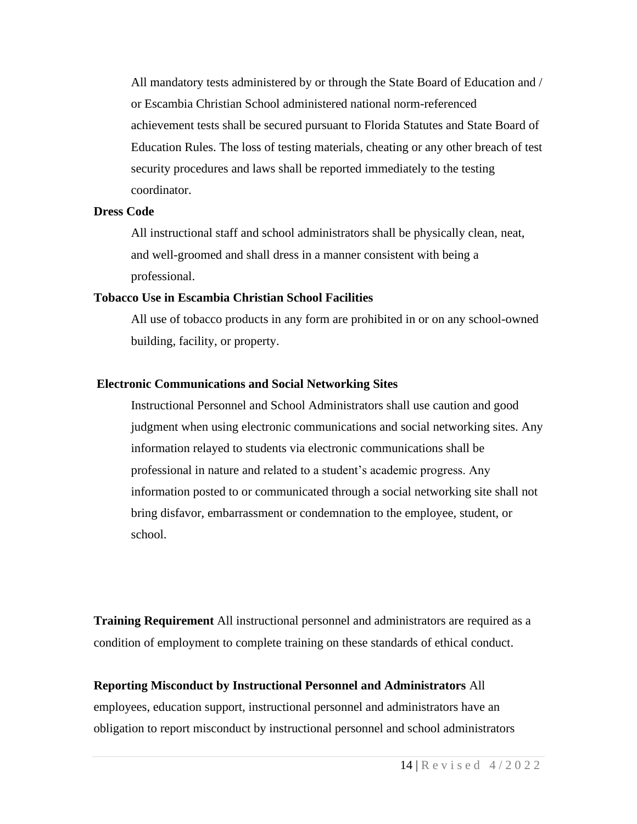All mandatory tests administered by or through the State Board of Education and / or Escambia Christian School administered national norm-referenced achievement tests shall be secured pursuant to Florida Statutes and State Board of Education Rules. The loss of testing materials, cheating or any other breach of test security procedures and laws shall be reported immediately to the testing coordinator.

#### **Dress Code**

All instructional staff and school administrators shall be physically clean, neat, and well-groomed and shall dress in a manner consistent with being a professional.

#### **Tobacco Use in Escambia Christian School Facilities**

All use of tobacco products in any form are prohibited in or on any school-owned building, facility, or property.

#### **Electronic Communications and Social Networking Sites**

Instructional Personnel and School Administrators shall use caution and good judgment when using electronic communications and social networking sites. Any information relayed to students via electronic communications shall be professional in nature and related to a student's academic progress. Any information posted to or communicated through a social networking site shall not bring disfavor, embarrassment or condemnation to the employee, student, or school.

**Training Requirement** All instructional personnel and administrators are required as a condition of employment to complete training on these standards of ethical conduct.

#### **Reporting Misconduct by Instructional Personnel and Administrators** All

employees, education support, instructional personnel and administrators have an obligation to report misconduct by instructional personnel and school administrators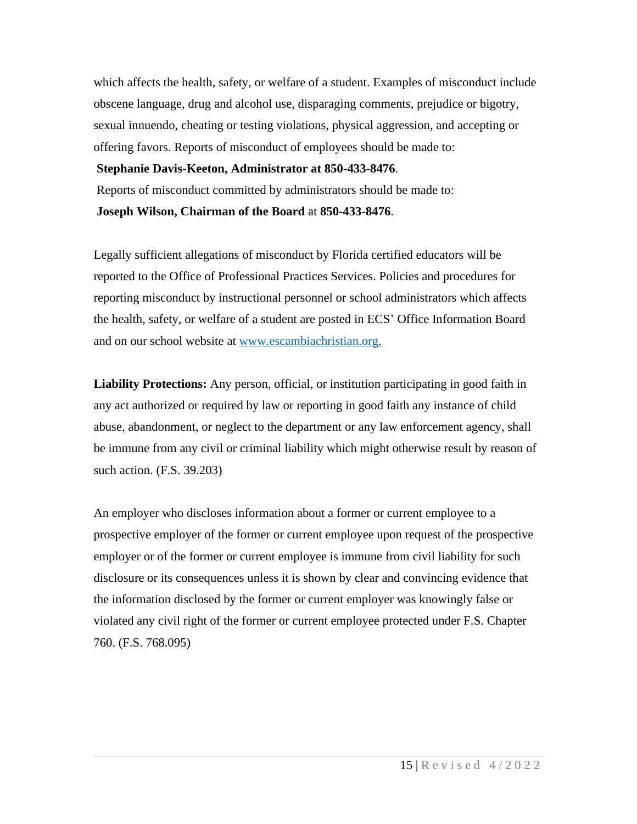which affects the health, safety, or welfare of a student. Examples of misconduct include obscene language, drug and alcohol use, disparaging comments, prejudice or bigotry, sexual innuendo, cheating or testing violations, physical aggression, and accepting or offering favors. Reports of misconduct of employees should be made to:

#### **Stephanie Davis-Keeton, Administrator at 850-433-8476**.

Reports of misconduct committed by administrators should be made to:

**Joseph Wilson, Chairman of the Board** at **850-433-8476**.

Legally sufficient allegations of misconduct by Florida certified educators will be reported to the Office of Professional Practices Services. Policies and procedures for reporting misconduct by instructional personnel or school administrators which affects the health, safety, or welfare of a student are posted in ECS' Office Information Board and on our school website at [www.escambiachristian.org.](http://www.escambiachristian.org/)

**Liability Protections:** Any person, official, or institution participating in good faith in any act authorized or required by law or reporting in good faith any instance of child abuse, abandonment, or neglect to the department or any law enforcement agency, shall be immune from any civil or criminal liability which might otherwise result by reason of such action. (F.S. 39.203)

An employer who discloses information about a former or current employee to a prospective employer of the former or current employee upon request of the prospective employer or of the former or current employee is immune from civil liability for such disclosure or its consequences unless it is shown by clear and convincing evidence that the information disclosed by the former or current employer was knowingly false or violated any civil right of the former or current employee protected under F.S. Chapter 760. (F.S. 768.095)